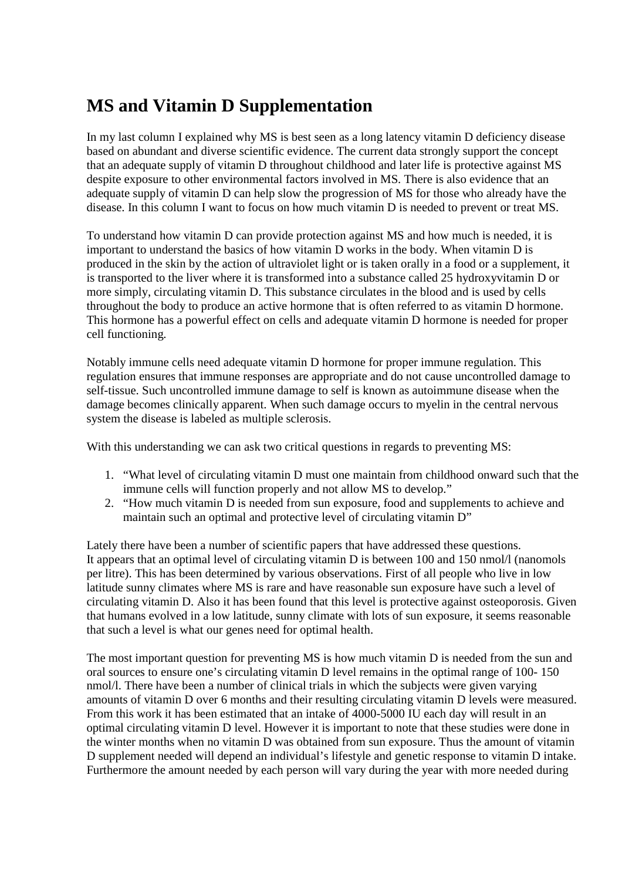## **MS and Vitamin D Supplementation**

In my last column I explained why MS is best seen as a long latency vitamin D deficiency disease based on abundant and diverse scientific evidence. The current data strongly support the concept that an adequate supply of vitamin D throughout childhood and later life is protective against MS despite exposure to other environmental factors involved in MS. There is also evidence that an adequate supply of vitamin D can help slow the progression of MS for those who already have the disease. In this column I want to focus on how much vitamin D is needed to prevent or treat MS.

To understand how vitamin D can provide protection against MS and how much is needed, it is important to understand the basics of how vitamin D works in the body. When vitamin D is produced in the skin by the action of ultraviolet light or is taken orally in a food or a supplement, it is transported to the liver where it is transformed into a substance called 25 hydroxyvitamin D or more simply, circulating vitamin D. This substance circulates in the blood and is used by cells throughout the body to produce an active hormone that is often referred to as vitamin D hormone. This hormone has a powerful effect on cells and adequate vitamin D hormone is needed for proper cell functioning.

Notably immune cells need adequate vitamin D hormone for proper immune regulation. This regulation ensures that immune responses are appropriate and do not cause uncontrolled damage to self-tissue. Such uncontrolled immune damage to self is known as autoimmune disease when the damage becomes clinically apparent. When such damage occurs to myelin in the central nervous system the disease is labeled as multiple sclerosis.

With this understanding we can ask two critical questions in regards to preventing MS:

- 1. "What level of circulating vitamin D must one maintain from childhood onward such that the immune cells will function properly and not allow MS to develop."
- 2. "How much vitamin D is needed from sun exposure, food and supplements to achieve and maintain such an optimal and protective level of circulating vitamin D"

Lately there have been a number of scientific papers that have addressed these questions. It appears that an optimal level of circulating vitamin D is between 100 and 150 nmol/l (nanomols per litre). This has been determined by various observations. First of all people who live in low latitude sunny climates where MS is rare and have reasonable sun exposure have such a level of circulating vitamin D. Also it has been found that this level is protective against osteoporosis. Given that humans evolved in a low latitude, sunny climate with lots of sun exposure, it seems reasonable that such a level is what our genes need for optimal health.

The most important question for preventing MS is how much vitamin D is needed from the sun and oral sources to ensure one's circulating vitamin D level remains in the optimal range of 100- 150 nmol/l. There have been a number of clinical trials in which the subjects were given varying amounts of vitamin D over 6 months and their resulting circulating vitamin D levels were measured. From this work it has been estimated that an intake of 4000-5000 IU each day will result in an optimal circulating vitamin D level. However it is important to note that these studies were done in the winter months when no vitamin D was obtained from sun exposure. Thus the amount of vitamin D supplement needed will depend an individual's lifestyle and genetic response to vitamin D intake. Furthermore the amount needed by each person will vary during the year with more needed during